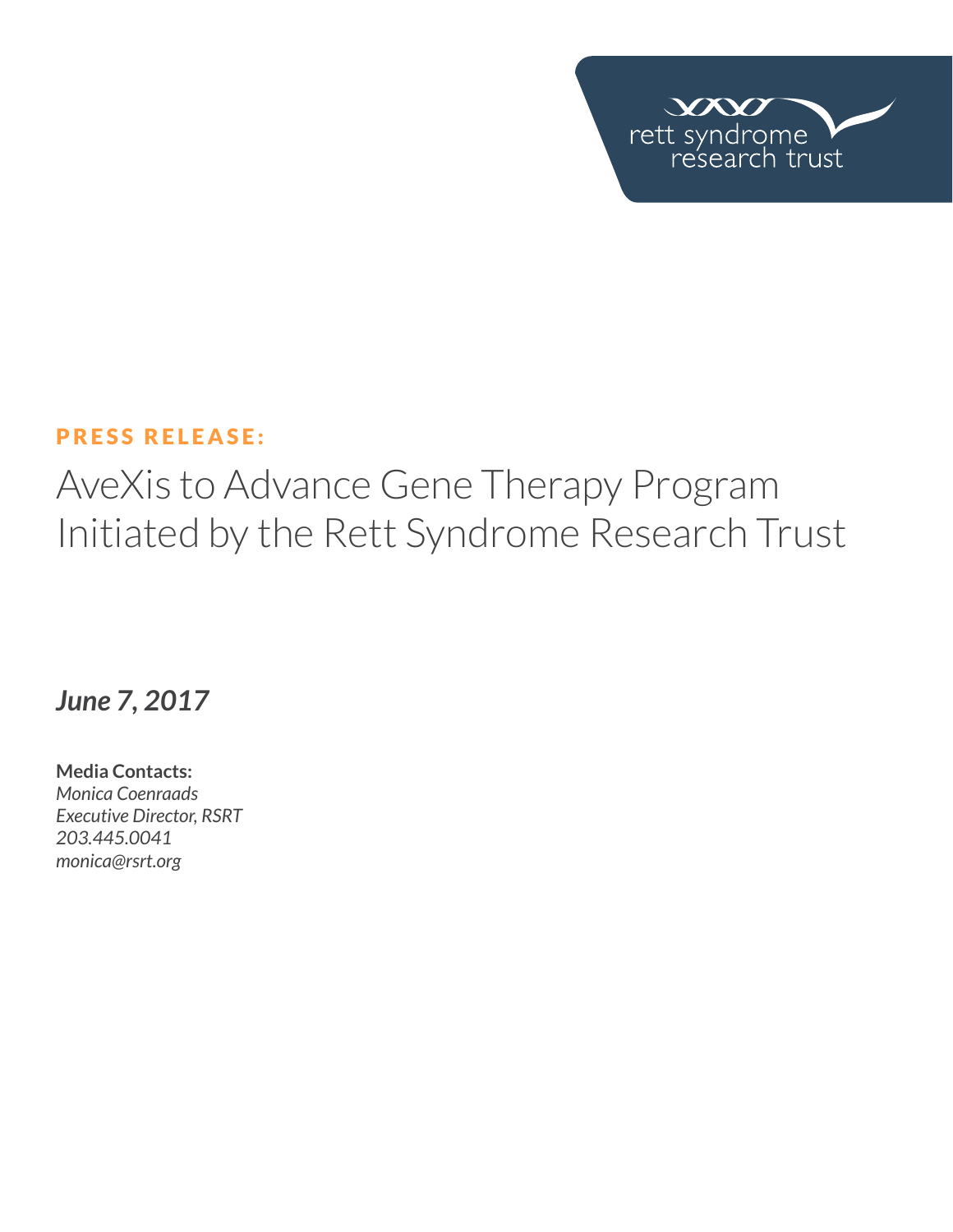

### PRESS RELEASE:

# AveXis to Advance Gene Therapy Program Initiated by the Rett Syndrome Research Trust

## *June 7, 2017*

**Media Contacts:**  *Monica Coenraads Executive Director, RSRT 203.445.0041 [monica@rsrt.org](mailto:monica%40rsrt.org?subject=Press%20Release%20%7C%20CSO%20Announce)*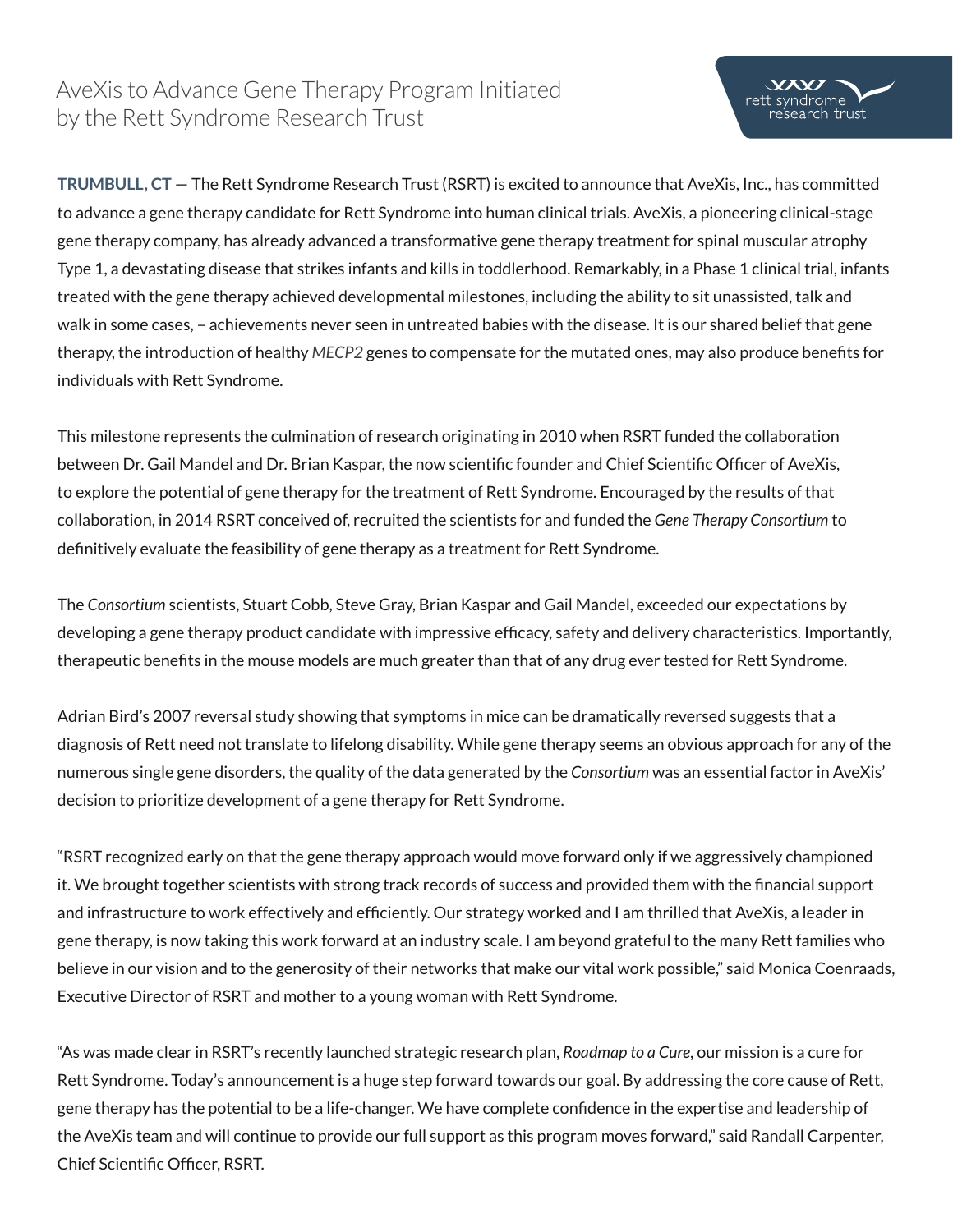## AveXis to Advance Gene Therapy Program Initiated by the Rett Syndrome Research Trust

**TRUMBULL, CT** — The Rett Syndrome Research Trust (RSRT) is excited to announce that AveXis, Inc., has committed to advance a gene therapy candidate for Rett Syndrome into human clinical trials. AveXis, a pioneering clinical-stage gene therapy company, has already advanced a transformative gene therapy treatment for spinal muscular atrophy Type 1, a devastating disease that strikes infants and kills in toddlerhood. Remarkably, in a Phase 1 clinical trial, infants treated with the gene therapy achieved developmental milestones, including the ability to sit unassisted, talk and walk in some cases, – achievements never seen in untreated babies with the disease. It is our shared belief that gene therapy, the introduction of healthy *MECP2* genes to compensate for the mutated ones, may also produce benefits for individuals with Rett Syndrome.

This milestone represents the culmination of research originating in 2010 when RSRT funded the collaboration between Dr. Gail Mandel and Dr. Brian Kaspar, the now scientific founder and Chief Scientific Officer of AveXis, to explore the potential of gene therapy for the treatment of Rett Syndrome. Encouraged by the results of that collaboration, in 2014 RSRT conceived of, recruited the scientists for and funded the *Gene Therapy Consortium* to definitively evaluate the feasibility of gene therapy as a treatment for Rett Syndrome.

The *Consortium* scientists, Stuart Cobb, Steve Gray, Brian Kaspar and Gail Mandel, exceeded our expectations by developing a gene therapy product candidate with impressive efficacy, safety and delivery characteristics. Importantly, therapeutic benefits in the mouse models are much greater than that of any drug ever tested for Rett Syndrome.

Adrian Bird's 2007 reversal study showing that symptoms in mice can be dramatically reversed suggests that a diagnosis of Rett need not translate to lifelong disability. While gene therapy seems an obvious approach for any of the numerous single gene disorders, the quality of the data generated by the *Consortium* was an essential factor in AveXis' decision to prioritize development of a gene therapy for Rett Syndrome.

"RSRT recognized early on that the gene therapy approach would move forward only if we aggressively championed it. We brought together scientists with strong track records of success and provided them with the financial support and infrastructure to work effectively and efficiently. Our strategy worked and I am thrilled that AveXis, a leader in gene therapy, is now taking this work forward at an industry scale. I am beyond grateful to the many Rett families who believe in our vision and to the generosity of their networks that make our vital work possible," said Monica Coenraads, Executive Director of RSRT and mother to a young woman with Rett Syndrome.

"As was made clear in RSRT's recently launched strategic research plan, *Roadmap to a Cure*, our mission is a cure for Rett Syndrome. Today's announcement is a huge step forward towards our goal. By addressing the core cause of Rett, gene therapy has the potential to be a life-changer. We have complete confidence in the expertise and leadership of the AveXis team and will continue to provide our full support as this program moves forward," said Randall Carpenter, Chief Scientific Officer, RSRT.